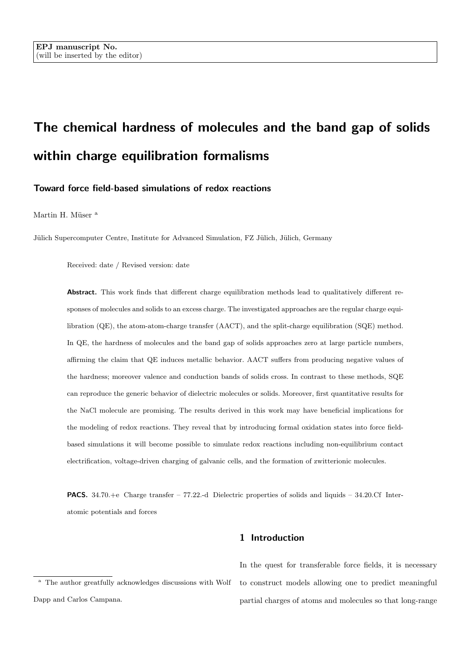# The chemical hardness of molecules and the band gap of solids within charge equilibration formalisms

Toward force field-based simulations of redox reactions

Martin H. Müser<sup>a</sup>

Jülich Supercomputer Centre, Institute for Advanced Simulation, FZ Jülich, Jülich, Germany

Received: date / Revised version: date

Abstract. This work finds that different charge equilibration methods lead to qualitatively different responses of molecules and solids to an excess charge. The investigated approaches are the regular charge equilibration (QE), the atom-atom-charge transfer (AACT), and the split-charge equilibration (SQE) method. In QE, the hardness of molecules and the band gap of solids approaches zero at large particle numbers, affirming the claim that QE induces metallic behavior. AACT suffers from producing negative values of the hardness; moreover valence and conduction bands of solids cross. In contrast to these methods, SQE can reproduce the generic behavior of dielectric molecules or solids. Moreover, first quantitative results for the NaCl molecule are promising. The results derived in this work may have beneficial implications for the modeling of redox reactions. They reveal that by introducing formal oxidation states into force fieldbased simulations it will become possible to simulate redox reactions including non-equilibrium contact electrification, voltage-driven charging of galvanic cells, and the formation of zwitterionic molecules.

PACS. 34.70.+e Charge transfer – 77.22.-d Dielectric properties of solids and liquids – 34.20.Cf Interatomic potentials and forces

# 1 Introduction

In the quest for transferable force fields, it is necessary to construct models allowing one to predict meaningful partial charges of atoms and molecules so that long-range

<sup>&</sup>lt;sup>a</sup> The author greatfully acknowledges discussions with Wolf Dapp and Carlos Campana.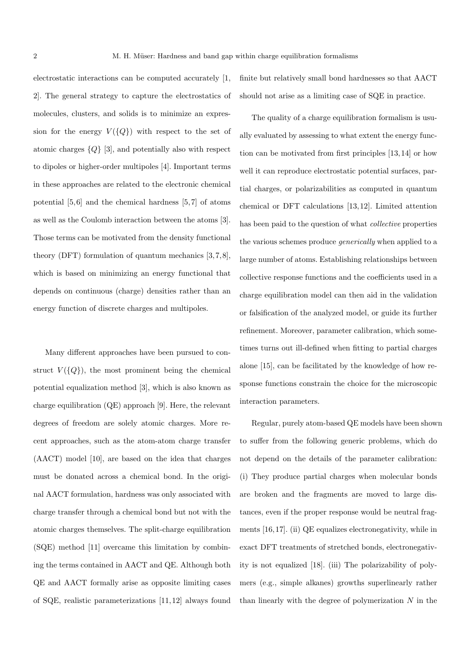electrostatic interactions can be computed accurately [1, 2]. The general strategy to capture the electrostatics of molecules, clusters, and solids is to minimize an expression for the energy  $V({Q})$  with respect to the set of atomic charges  ${Q}$  [3], and potentially also with respect to dipoles or higher-order multipoles [4]. Important terms in these approaches are related to the electronic chemical potential [5, 6] and the chemical hardness [5, 7] of atoms as well as the Coulomb interaction between the atoms [3]. Those terms can be motivated from the density functional theory (DFT) formulation of quantum mechanics  $[3, 7, 8]$ , which is based on minimizing an energy functional that depends on continuous (charge) densities rather than an energy function of discrete charges and multipoles.

Many different approaches have been pursued to construct  $V({Q})$ , the most prominent being the chemical potential equalization method [3], which is also known as charge equilibration (QE) approach [9]. Here, the relevant degrees of freedom are solely atomic charges. More recent approaches, such as the atom-atom charge transfer (AACT) model [10], are based on the idea that charges must be donated across a chemical bond. In the original AACT formulation, hardness was only associated with charge transfer through a chemical bond but not with the atomic charges themselves. The split-charge equilibration (SQE) method [11] overcame this limitation by combining the terms contained in AACT and QE. Although both QE and AACT formally arise as opposite limiting cases of SQE, realistic parameterizations [11, 12] always found finite but relatively small bond hardnesses so that AACT should not arise as a limiting case of SQE in practice.

The quality of a charge equilibration formalism is usually evaluated by assessing to what extent the energy function can be motivated from first principles [13, 14] or how well it can reproduce electrostatic potential surfaces, partial charges, or polarizabilities as computed in quantum chemical or DFT calculations [13, 12]. Limited attention has been paid to the question of what collective properties the various schemes produce generically when applied to a large number of atoms. Establishing relationships between collective response functions and the coefficients used in a charge equilibration model can then aid in the validation or falsification of the analyzed model, or guide its further refinement. Moreover, parameter calibration, which sometimes turns out ill-defined when fitting to partial charges alone [15], can be facilitated by the knowledge of how response functions constrain the choice for the microscopic interaction parameters.

Regular, purely atom-based QE models have been shown to suffer from the following generic problems, which do not depend on the details of the parameter calibration: (i) They produce partial charges when molecular bonds are broken and the fragments are moved to large distances, even if the proper response would be neutral fragments [16, 17]. (ii) QE equalizes electronegativity, while in exact DFT treatments of stretched bonds, electronegativity is not equalized [18]. (iii) The polarizability of polymers (e.g., simple alkanes) growths superlinearly rather than linearly with the degree of polymerization  $N$  in the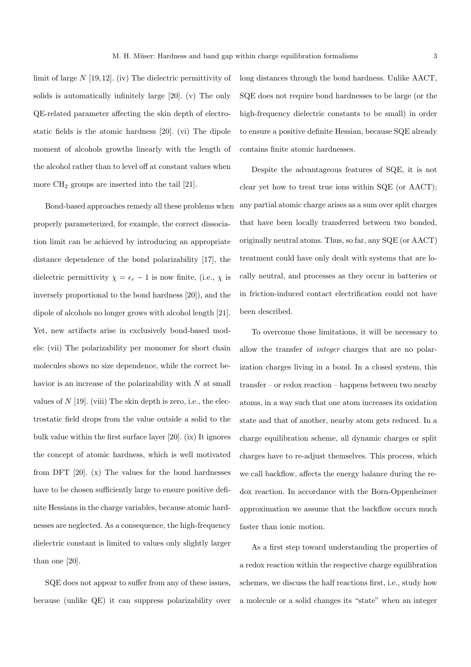limit of large  $N$  [19, 12]. (iv) The dielectric permittivity of solids is automatically infinitely large [20]. (v) The only QE-related parameter affecting the skin depth of electrostatic fields is the atomic hardness [20]. (vi) The dipole moment of alcohols growths linearly with the length of the alcohol rather than to level off at constant values when more  $\text{CH}_2$  groups are inserted into the tail [21].

Bond-based approaches remedy all these problems when properly parameterized, for example, the correct dissociation limit can be achieved by introducing an appropriate distance dependence of the bond polarizability [17], the dielectric permittivity  $\chi = \epsilon_r - 1$  is now finite, (i.e.,  $\chi$  is inversely proportional to the bond hardness [20]), and the dipole of alcohols no longer grows with alcohol length [21]. Yet, new artifacts arise in exclusively bond-based models: (vii) The polarizability per monomer for short chain molecules shows no size dependence, while the correct behavior is an increase of the polarizability with  $N$  at small values of  $N$  [19]. (viii) The skin depth is zero, i.e., the electrostatic field drops from the value outside a solid to the bulk value within the first surface layer [20]. (ix) It ignores the concept of atomic hardness, which is well motivated from DFT [20]. (x) The values for the bond hardnesses have to be chosen sufficiently large to ensure positive definite Hessians in the charge variables, because atomic hardnesses are neglected. As a consequence, the high-frequency dielectric constant is limited to values only slightly larger than one [20].

SQE does not appear to suffer from any of these issues, because (unlike QE) it can suppress polarizability over long distances through the bond hardness. Unlike AACT, SQE does not require bond hardnesses to be large (or the high-frequency dielectric constants to be small) in order to ensure a positive definite Hessian, because SQE already contains finite atomic hardnesses.

Despite the advantageous features of SQE, it is not clear yet how to treat true ions within SQE (or AACT); any partial atomic charge arises as a sum over split charges that have been locally transferred between two bonded, originally neutral atoms. Thus, so far, any SQE (or AACT) treatment could have only dealt with systems that are locally neutral, and processes as they occur in batteries or in friction-induced contact electrification could not have been described.

To overcome those limitations, it will be necessary to allow the transfer of integer charges that are no polarization charges living in a bond. In a closed system, this transfer – or redox reaction – happens between two nearby atoms, in a way such that one atom increases its oxidation state and that of another, nearby atom gets reduced. In a charge equilibration scheme, all dynamic charges or split charges have to re-adjust themselves. This process, which we call backflow, affects the energy balance during the redox reaction. In accordance with the Born-Oppenheimer approximation we assume that the backflow occurs much faster than ionic motion.

As a first step toward understanding the properties of a redox reaction within the respective charge equilibration schemes, we discuss the half reactions first, i.e., study how a molecule or a solid changes its "state" when an integer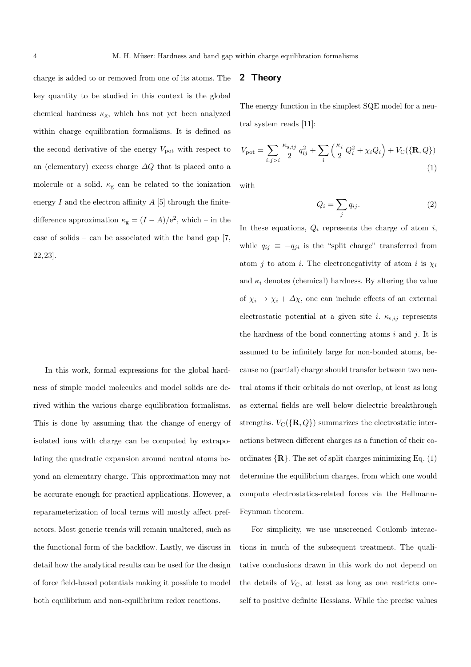charge is added to or removed from one of its atoms. The key quantity to be studied in this context is the global chemical hardness  $\kappa_{\rm g}$ , which has not yet been analyzed within charge equilibration formalisms. It is defined as the second derivative of the energy  $V_{\text{pot}}$  with respect to an (elementary) excess charge  $\Delta Q$  that is placed onto a molecule or a solid.  $\kappa_{\rm g}$  can be related to the ionization energy  $I$  and the electron affinity  $A$  [5] through the finitedifference approximation  $\kappa_{\rm g} = (I - A)/{\rm e}^2$ , which – in the case of solids – can be associated with the band gap [7, 22, 23].

In this work, formal expressions for the global hardness of simple model molecules and model solids are derived within the various charge equilibration formalisms. This is done by assuming that the change of energy of isolated ions with charge can be computed by extrapolating the quadratic expansion around neutral atoms beyond an elementary charge. This approximation may not be accurate enough for practical applications. However, a reparameterization of local terms will mostly affect prefactors. Most generic trends will remain unaltered, such as the functional form of the backflow. Lastly, we discuss in detail how the analytical results can be used for the design of force field-based potentials making it possible to model both equilibrium and non-equilibrium redox reactions.

## 2 Theory

The energy function in the simplest SQE model for a neutral system reads [11]:

$$
V_{\text{pot}} = \sum_{i,j>i} \frac{\kappa_{\text{s},ij}}{2} q_{ij}^2 + \sum_i \left( \frac{\kappa_i}{2} Q_i^2 + \chi_i Q_i \right) + V_{\text{C}}(\{\mathbf{R}, Q\})
$$
\n(1)

with

$$
Q_i = \sum_j q_{ij}.\tag{2}
$$

In these equations,  $Q_i$  represents the charge of atom i, while  $q_{ij} \equiv -q_{ji}$  is the "split charge" transferred from atom j to atom i. The electronegativity of atom i is  $\chi_i$ and  $\kappa_i$  denotes (chemical) hardness. By altering the value of  $\chi_i \to \chi_i + \Delta \chi$ , one can include effects of an external electrostatic potential at a given site i.  $\kappa_{s,ij}$  represents the hardness of the bond connecting atoms  $i$  and  $j$ . It is assumed to be infinitely large for non-bonded atoms, because no (partial) charge should transfer between two neutral atoms if their orbitals do not overlap, at least as long as external fields are well below dielectric breakthrough strengths.  $V_{\text{C}}({\textbf{R}, Q})$  summarizes the electrostatic interactions between different charges as a function of their coordinates  $\{R\}$ . The set of split charges minimizing Eq. (1) determine the equilibrium charges, from which one would compute electrostatics-related forces via the Hellmann-Feynman theorem.

For simplicity, we use unscreened Coulomb interactions in much of the subsequent treatment. The qualitative conclusions drawn in this work do not depend on the details of  $V_{\rm C}$ , at least as long as one restricts oneself to positive definite Hessians. While the precise values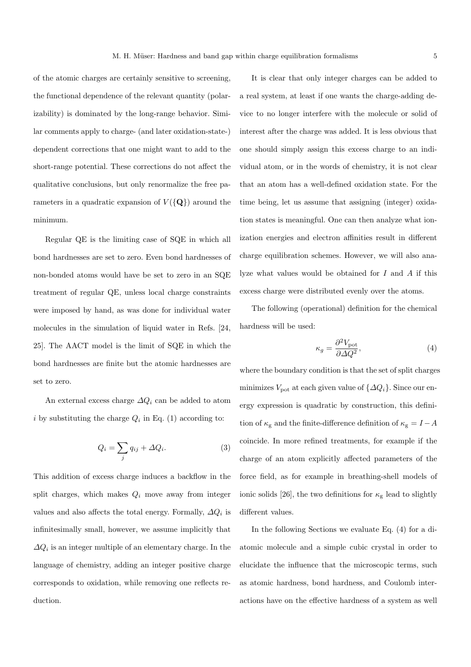of the atomic charges are certainly sensitive to screening, the functional dependence of the relevant quantity (polarizability) is dominated by the long-range behavior. Similar comments apply to charge- (and later oxidation-state-) dependent corrections that one might want to add to the short-range potential. These corrections do not affect the qualitative conclusions, but only renormalize the free parameters in a quadratic expansion of  $V({\{Q\}})$  around the minimum.

Regular QE is the limiting case of SQE in which all bond hardnesses are set to zero. Even bond hardnesses of non-bonded atoms would have be set to zero in an SQE treatment of regular QE, unless local charge constraints were imposed by hand, as was done for individual water molecules in the simulation of liquid water in Refs. [24, 25]. The AACT model is the limit of SQE in which the bond hardnesses are finite but the atomic hardnesses are set to zero.

An external excess charge  $\Delta Q_i$  can be added to atom i by substituting the charge  $Q_i$  in Eq. (1) according to:

$$
Q_i = \sum_j q_{ij} + \Delta Q_i.
$$
 (3)

This addition of excess charge induces a backflow in the split charges, which makes  $Q_i$  move away from integer values and also affects the total energy. Formally,  $\Delta Q_i$  is infinitesimally small, however, we assume implicitly that  $\Delta Q_i$  is an integer multiple of an elementary charge. In the language of chemistry, adding an integer positive charge corresponds to oxidation, while removing one reflects reduction.

It is clear that only integer charges can be added to a real system, at least if one wants the charge-adding device to no longer interfere with the molecule or solid of interest after the charge was added. It is less obvious that one should simply assign this excess charge to an individual atom, or in the words of chemistry, it is not clear that an atom has a well-defined oxidation state. For the time being, let us assume that assigning (integer) oxidation states is meaningful. One can then analyze what ionization energies and electron affinities result in different charge equilibration schemes. However, we will also analyze what values would be obtained for I and A if this excess charge were distributed evenly over the atoms.

The following (operational) definition for the chemical hardness will be used:

$$
\kappa_g = \frac{\partial^2 V_{\text{pot}}}{\partial \Delta Q^2},\tag{4}
$$

where the boundary condition is that the set of split charges minimizes  $V_{\text{pot}}$  at each given value of  $\{\Delta Q_i\}$ . Since our energy expression is quadratic by construction, this definition of  $\kappa_{\mathrm{g}}$  and the finite-difference definition of  $\kappa_{\mathrm{g}}=I-A$ coincide. In more refined treatments, for example if the charge of an atom explicitly affected parameters of the force field, as for example in breathing-shell models of ionic solids [26], the two definitions for  $\kappa_{\rm g}$  lead to slightly different values.

In the following Sections we evaluate Eq. (4) for a diatomic molecule and a simple cubic crystal in order to elucidate the influence that the microscopic terms, such as atomic hardness, bond hardness, and Coulomb interactions have on the effective hardness of a system as well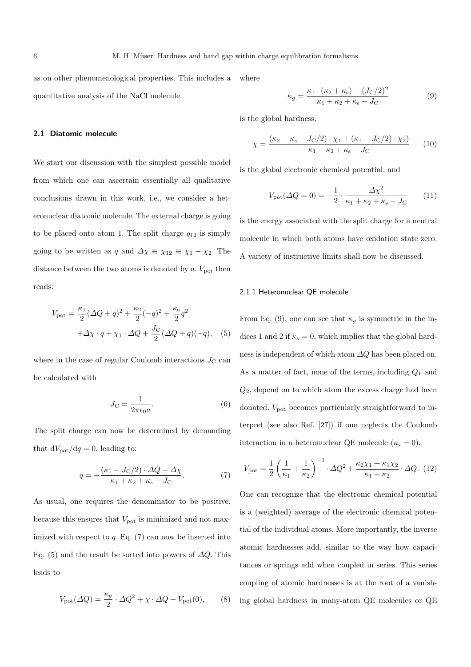as on other phenomenological properties. This includes a quantitative analysis of the NaCl molecule. where

# 2.1 Diatomic molecule

We start our discussion with the simplest possible model from which one can ascertain essentially all qualitative conclusions drawn in this work, i.e., we consider a heteronuclear diatomic molecule. The external charge is going to be placed onto atom 1. The split charge  $q_{12}$  is simply going to be written as q and  $\Delta \chi \equiv \chi_{12} \equiv \chi_1 - \chi_2$ . The distance between the two atoms is denoted by  $a. V_{pot}$  then reads:

$$
V_{\text{pot}} = \frac{\kappa_1}{2} (\Delta Q + q)^2 + \frac{\kappa_2}{2} (-q)^2 + \frac{\kappa_s}{2} q^2
$$
  
+  $\Delta \chi \cdot q + \chi_1 \cdot \Delta Q + \frac{J_C}{2} (\Delta Q + q) (-q),$  (5)

where in the case of regular Coulomb interactions  $J_{\rm C}$  can be calculated with

$$
J_{\rm C} = \frac{1}{2\pi\epsilon_0 a}.\tag{6}
$$

The split charge can now be determined by demanding that  $dV_{\text{pot}}/dq = 0$ , leading to:

$$
q = -\frac{(\kappa_1 - J_C/2) \cdot \Delta Q + \Delta \chi}{\kappa_1 + \kappa_2 + \kappa_s - J_C}.
$$
 (7)

As usual, one requires the denominator to be positive, because this ensures that  $V_{\text{pot}}$  is minimized and not maximized with respect to  $q$ . Eq.  $(7)$  can now be inserted into Eq. (5) and the result be sorted into powers of  $\Delta Q$ . This leads to

$$
V_{\text{pot}}(\Delta Q) = \frac{\kappa_g}{2} \cdot \Delta Q^2 + \chi \cdot \Delta Q + V_{\text{pot}}(0),\qquad(8)
$$

$$
\kappa_g = \frac{\kappa_1 \cdot (\kappa_2 + \kappa_s) - (J_C/2)^2}{\kappa_1 + \kappa_2 + \kappa_s - J_C}
$$

is the global hardness,

$$
\chi = \frac{(\kappa_2 + \kappa_s - J_C/2) \cdot \chi_1 + (\kappa_1 - J_C/2) \cdot \chi_2)}{\kappa_1 + \kappa_2 + \kappa_s - J_C} \tag{10}
$$

(9)

is the global electronic chemical potential, and

$$
V_{\rm pot}(\Delta Q = 0) = -\frac{1}{2} \cdot \frac{\Delta \chi^2}{\kappa_1 + \kappa_2 + \kappa_3 - J_C} \tag{11}
$$

is the energy associated with the split charge for a neutral molecule in which both atoms have oxidation state zero. A variety of instructive limits shall now be discussed.

## 2.1.1 Heteronuclear QE molecule

From Eq. (9), one can see that  $\kappa_g$  is symmetric in the indices 1 and 2 if  $\kappa_s = 0$ , which implies that the global hardness is independent of which atom  $\Delta Q$  has been placed on. As a matter of fact, none of the terms, including  $Q_1$  and  $Q_2$ , depend on to which atom the excess charge had been donated.  $V_{pot}$  becomes particularly straightforward to interpret (see also Ref. [27]) if one neglects the Coulomb interaction in a heteronuclear QE molecule ( $\kappa_s = 0$ ),

$$
V_{\text{pot}} = \frac{1}{2} \left( \frac{1}{\kappa_1} + \frac{1}{\kappa_2} \right)^{-1} \cdot \Delta Q^2 + \frac{\kappa_2 \chi_1 + \kappa_1 \chi_2}{\kappa_1 + \kappa_2} \cdot \Delta Q. \tag{12}
$$

One can recognize that the electronic chemical potential is a (weighted) average of the electronic chemical potential of the individual atoms. More importantly, the inverse atomic hardnesses add, similar to the way how capacitances or springs add when coupled in series. This series coupling of atomic hardnesses is at the root of a vanishing global hardness in many-atom QE molecules or QE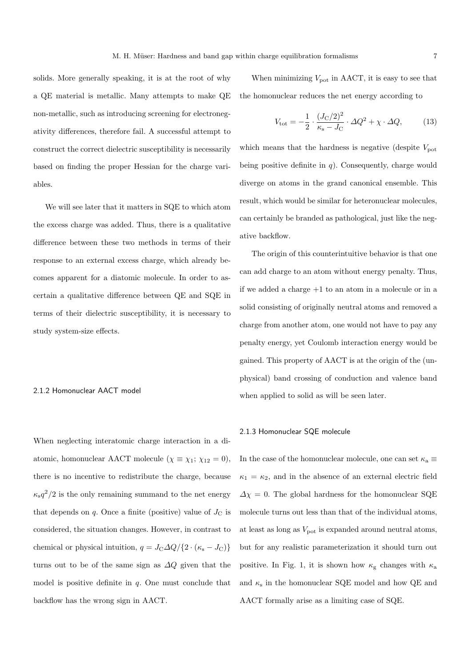solids. More generally speaking, it is at the root of why a QE material is metallic. Many attempts to make QE non-metallic, such as introducing screening for electronegativity differences, therefore fail. A successful attempt to construct the correct dielectric susceptibility is necessarily based on finding the proper Hessian for the charge variables.

We will see later that it matters in SQE to which atom the excess charge was added. Thus, there is a qualitative difference between these two methods in terms of their response to an external excess charge, which already becomes apparent for a diatomic molecule. In order to ascertain a qualitative difference between QE and SQE in terms of their dielectric susceptibility, it is necessary to study system-size effects.

#### 2.1.2 Homonuclear AACT model

When neglecting interatomic charge interaction in a diatomic, homonuclear AACT molecule ( $\chi \equiv \chi_1$ ;  $\chi_{12} = 0$ ), there is no incentive to redistribute the charge, because  $\kappa_{\rm s}q^2/2$  is the only remaining summand to the net energy that depends on  $q$ . Once a finite (positive) value of  $J_{\rm C}$  is considered, the situation changes. However, in contrast to chemical or physical intuition,  $q = J_C \Delta Q / \{2 \cdot (\kappa_s - J_C)\}$ turns out to be of the same sign as  $\Delta Q$  given that the model is positive definite in  $q$ . One must conclude that backflow has the wrong sign in AACT.

When minimizing  $V_{pot}$  in AACT, it is easy to see that the homonuclear reduces the net energy according to

$$
V_{\text{tot}} = -\frac{1}{2} \cdot \frac{(J_C/2)^2}{\kappa_s - J_C} \cdot \Delta Q^2 + \chi \cdot \Delta Q,\tag{13}
$$

which means that the hardness is negative (despite  $V_{\text{pot}}$ being positive definite in  $q$ ). Consequently, charge would diverge on atoms in the grand canonical ensemble. This result, which would be similar for heteronuclear molecules, can certainly be branded as pathological, just like the negative backflow.

The origin of this counterintuitive behavior is that one can add charge to an atom without energy penalty. Thus, if we added a charge +1 to an atom in a molecule or in a solid consisting of originally neutral atoms and removed a charge from another atom, one would not have to pay any penalty energy, yet Coulomb interaction energy would be gained. This property of AACT is at the origin of the (unphysical) band crossing of conduction and valence band when applied to solid as will be seen later.

# 2.1.3 Homonuclear SQE molecule

In the case of the homonuclear molecule, one can set  $\kappa_a \equiv$  $\kappa_1 = \kappa_2$ , and in the absence of an external electric field  $\Delta \chi = 0$ . The global hardness for the homonuclear SQE molecule turns out less than that of the individual atoms, at least as long as  $V_{\text{pot}}$  is expanded around neutral atoms, but for any realistic parameterization it should turn out positive. In Fig. 1, it is shown how  $\kappa_{\rm g}$  changes with  $\kappa_{\rm a}$ and  $\kappa_s$  in the homonuclear SQE model and how QE and AACT formally arise as a limiting case of SQE.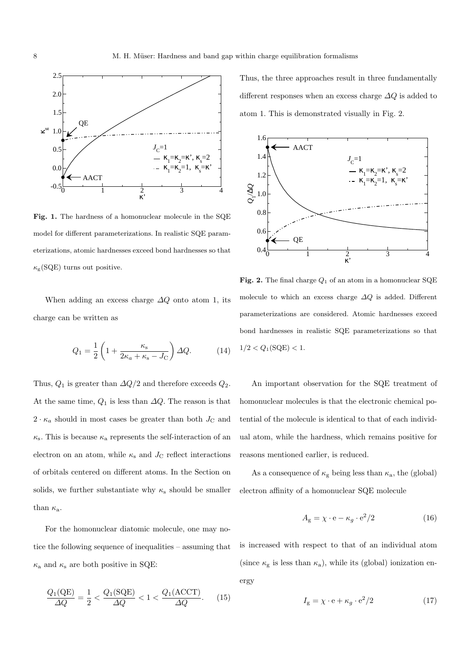

Fig. 1. The hardness of a homonuclear molecule in the SQE model for different parameterizations. In realistic SQE parameterizations, atomic hardnesses exceed bond hardnesses so that  $\kappa_{\rm g}({\rm SQE})$  turns out positive.

When adding an excess charge  $\Delta Q$  onto atom 1, its charge can be written as

$$
Q_1 = \frac{1}{2} \left( 1 + \frac{\kappa_s}{2\kappa_a + \kappa_s - J_C} \right) \Delta Q. \tag{14}
$$

Thus,  $Q_1$  is greater than  $\Delta Q/2$  and therefore exceeds  $Q_2$ . At the same time,  $Q_1$  is less than  $\Delta Q$ . The reason is that  $2 \cdot \kappa_a$  should in most cases be greater than both  $J_C$  and  $\kappa_{\rm s}$ . This is because  $\kappa_{\rm a}$  represents the self-interaction of an electron on an atom, while  $\kappa_{\rm s}$  and  $J_{\rm C}$  reflect interactions of orbitals centered on different atoms. In the Section on solids, we further substantiate why  $\kappa_{\rm s}$  should be smaller than  $\kappa$ <sub>a</sub>.

For the homonuclear diatomic molecule, one may notice the following sequence of inequalities – assuming that  $\kappa_{\rm a}$  and  $\kappa_{\rm s}$  are both positive in SQE:

$$
\frac{Q_1(\text{QE})}{\Delta Q} = \frac{1}{2} < \frac{Q_1(\text{SQE})}{\Delta Q} < 1 < \frac{Q_1(\text{ACCT})}{\Delta Q}.\tag{15}
$$

Thus, the three approaches result in three fundamentally different responses when an excess charge  $\Delta Q$  is added to atom 1. This is demonstrated visually in Fig. 2.



Fig. 2. The final charge  $Q_1$  of an atom in a homonuclear SQE molecule to which an excess charge  $\Delta Q$  is added. Different parameterizations are considered. Atomic hardnesses exceed bond hardnesses in realistic SQE parameterizations so that  $1/2 < Q_1(SQE) < 1.$ 

An important observation for the SQE treatment of homonuclear molecules is that the electronic chemical potential of the molecule is identical to that of each individual atom, while the hardness, which remains positive for reasons mentioned earlier, is reduced.

As a consequence of  $\kappa_{\rm g}$  being less than  $\kappa_{\rm a}$ , the (global) electron affinity of a homonuclear SQE molecule

$$
A_{\rm g} = \chi \cdot \mathbf{e} - \kappa_g \cdot \mathbf{e}^2 / 2 \tag{16}
$$

is increased with respect to that of an individual atom (since  $\kappa_{\rm g}$  is less than  $\kappa_{\rm a}$ ), while its (global) ionization energy

$$
I_{\rm g} = \chi \cdot {\rm e} + \kappa_g \cdot {\rm e}^2 / 2 \tag{17}
$$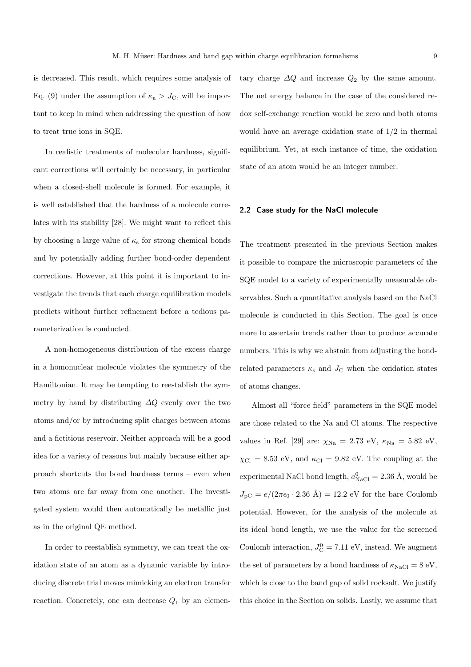is decreased. This result, which requires some analysis of Eq. (9) under the assumption of  $\kappa_a > J_C$ , will be important to keep in mind when addressing the question of how to treat true ions in SQE.

In realistic treatments of molecular hardness, significant corrections will certainly be necessary, in particular when a closed-shell molecule is formed. For example, it is well established that the hardness of a molecule correlates with its stability [28]. We might want to reflect this by choosing a large value of  $\kappa_{\rm s}$  for strong chemical bonds and by potentially adding further bond-order dependent corrections. However, at this point it is important to investigate the trends that each charge equilibration models predicts without further refinement before a tedious parameterization is conducted.

A non-homogeneous distribution of the excess charge in a homonuclear molecule violates the symmetry of the Hamiltonian. It may be tempting to reestablish the symmetry by hand by distributing  $\Delta Q$  evenly over the two atoms and/or by introducing split charges between atoms and a fictitious reservoir. Neither approach will be a good idea for a variety of reasons but mainly because either approach shortcuts the bond hardness terms – even when two atoms are far away from one another. The investigated system would then automatically be metallic just as in the original QE method.

In order to reestablish symmetry, we can treat the oxidation state of an atom as a dynamic variable by introducing discrete trial moves mimicking an electron transfer reaction. Concretely, one can decrease  $Q_1$  by an elementary charge  $\Delta Q$  and increase  $Q_2$  by the same amount. The net energy balance in the case of the considered redox self-exchange reaction would be zero and both atoms would have an average oxidation state of 1/2 in thermal equilibrium. Yet, at each instance of time, the oxidation state of an atom would be an integer number.

#### 2.2 Case study for the NaCl molecule

The treatment presented in the previous Section makes it possible to compare the microscopic parameters of the SQE model to a variety of experimentally measurable observables. Such a quantitative analysis based on the NaCl molecule is conducted in this Section. The goal is once more to ascertain trends rather than to produce accurate numbers. This is why we abstain from adjusting the bondrelated parameters  $\kappa_{\rm s}$  and  $J_{\rm C}$  when the oxidation states of atoms changes.

Almost all "force field" parameters in the SQE model are those related to the Na and Cl atoms. The respective values in Ref. [29] are:  $\chi_{\text{Na}} = 2.73 \text{ eV}$ ,  $\kappa_{\text{Na}} = 5.82 \text{ eV}$ ,  $\chi_{\mathrm{Cl}}$  = 8.53 eV, and  $\kappa_{\mathrm{Cl}}$  = 9.82 eV. The coupling at the experimental NaCl bond length,  $a_{\text{NaCl}}^0 = 2.36 \text{ Å}$ , would be  $J_{\rm{pC}}=e/(2\pi\epsilon_0\cdot 2.36$  Å) = 12.2 eV for the bare Coulomb potential. However, for the analysis of the molecule at its ideal bond length, we use the value for the screened Coulomb interaction,  $J_C^0 = 7.11$  eV, instead. We augment the set of parameters by a bond hardness of  $\kappa_{\text{NaCl}} = 8 \text{ eV}$ , which is close to the band gap of solid rocksalt. We justify this choice in the Section on solids. Lastly, we assume that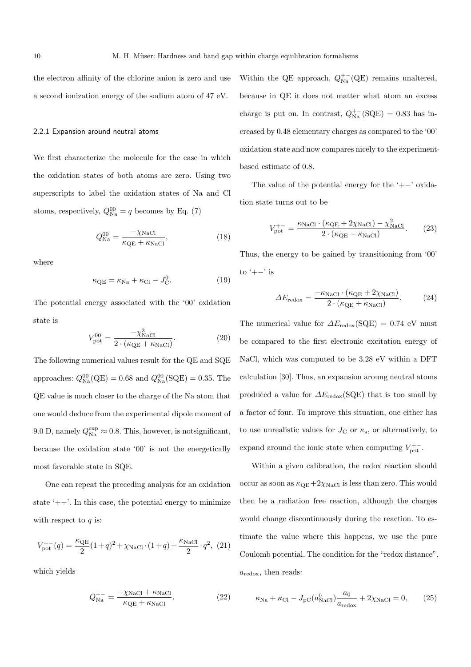the electron affinity of the chlorine anion is zero and use a second ionization energy of the sodium atom of 47 eV.

## 2.2.1 Expansion around neutral atoms

We first characterize the molecule for the case in which the oxidation states of both atoms are zero. Using two superscripts to label the oxidation states of Na and Cl atoms, respectively,  $Q_{\text{Na}}^{00} = q$  becomes by Eq. (7)

$$
Q_{\text{Na}}^{00} = \frac{-\chi_{\text{NaCl}}}{\kappa_{\text{QE}} + \kappa_{\text{NaCl}}},\tag{18}
$$

where

$$
\kappa_{\rm QE} = \kappa_{\rm Na} + \kappa_{\rm Cl} - J_{\rm C}^0.
$$
 (19)

The potential energy associated with the '00' oxidation state is

$$
V_{\text{pot}}^{00} = \frac{-\chi_{\text{NaCl}}^2}{2 \cdot (\kappa_{\text{QE}} + \kappa_{\text{NaCl}})}.
$$
 (20)

The following numerical values result for the QE and SQE approaches:  $Q_{\text{Na}}^{00}(\text{QE}) = 0.68$  and  $Q_{\text{Na}}^{00}(\text{SQE}) = 0.35$ . The QE value is much closer to the charge of the Na atom that one would deduce from the experimental dipole moment of 9.0 D, namely  $Q_{\text{Na}}^{\text{exp}} \approx 0.8$ . This, however, is notsignificant, because the oxidation state '00' is not the energetically most favorable state in SQE.

One can repeat the preceding analysis for an oxidation state '+−'. In this case, the potential energy to minimize with respect to  $q$  is:

$$
V_{\text{pot}}^{+-}(q) = \frac{\kappa_{\text{QE}}}{2}(1+q)^2 + \chi_{\text{NaCl}} \cdot (1+q) + \frac{\kappa_{\text{NaCl}}}{2} \cdot q^2, (21)
$$

which yields

$$
Q_{\text{Na}}^{+-} = \frac{-\chi_{\text{NaCl}} + \kappa_{\text{NaCl}}}{\kappa_{\text{QE}} + \kappa_{\text{NaCl}}}.
$$
 (22)

Within the QE approach,  $Q_{\text{Na}}^{+-}(\text{QE})$  remains unaltered, because in QE it does not matter what atom an excess charge is put on. In contrast,  $Q_{\text{Na}}^{+-}(\text{SQE}) = 0.83$  has increased by 0.48 elementary charges as compared to the '00' oxidation state and now compares nicely to the experimentbased estimate of 0.8.

The value of the potential energy for the  $+$ −' oxidation state turns out to be

$$
V_{\text{pot}}^{+-} = \frac{\kappa_{\text{NaCl}} \cdot (\kappa_{\text{QE}} + 2\chi_{\text{NaCl}}) - \chi_{\text{NaCl}}^2}{2 \cdot (\kappa_{\text{QE}} + \kappa_{\text{NaCl}})}.
$$
 (23)

Thus, the energy to be gained by transitioning from '00' to ' $+-$ ' is

$$
\Delta E_{\text{redox}} = \frac{-\kappa_{\text{NaCl}} \cdot (\kappa_{\text{QE}} + 2\chi_{\text{NaCl}})}{2 \cdot (\kappa_{\text{QE}} + \kappa_{\text{NaCl}})}.
$$
(24)

The numerical value for  $\Delta E_{\text{redox}}(\text{SQE}) = 0.74 \text{ eV}$  must be compared to the first electronic excitation energy of NaCl, which was computed to be 3.28 eV within a DFT calculation [30]. Thus, an expansion aroung neutral atoms produced a value for  $\Delta E_{\text{redox}}(\text{SQE})$  that is too small by a factor of four. To improve this situation, one either has to use unrealistic values for  $J_{\rm C}$  or  $\kappa_{\rm s}$ , or alternatively, to expand around the ionic state when computing  $V_{\text{pot}}^{+-}$ .

Within a given calibration, the redox reaction should occur as soon as  $\kappa_{\text{QE}}+2\chi_{\text{NaCl}}$  is less than zero. This would then be a radiation free reaction, although the charges would change discontinuously during the reaction. To estimate the value where this happens, we use the pure Coulomb potential. The condition for the "redox distance",  $a_{\text{redox}}$ , then reads:

$$
\kappa_{\text{Na}} + \kappa_{\text{Cl}} - J_{\text{pC}}(a_{\text{NaCl}}^0) \frac{a_0}{a_{\text{redox}}} + 2\chi_{\text{NaCl}} = 0,\qquad(25)
$$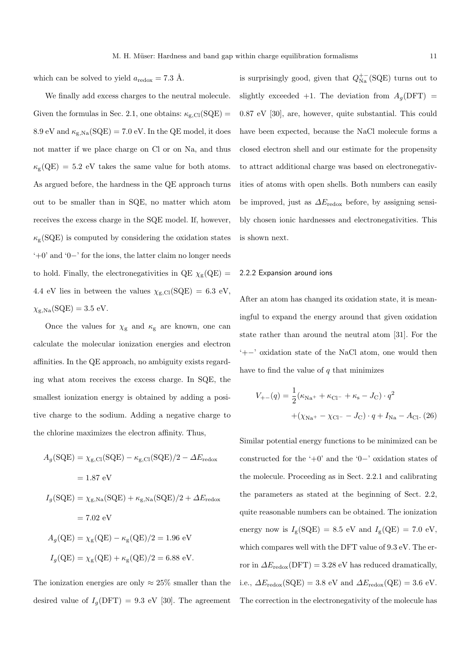which can be solved to yield  $a_{\text{redox}} = 7.3 \text{ Å}.$ 

We finally add excess charges to the neutral molecule. Given the formulas in Sec. 2.1, one obtains:  $\kappa_{g,Cl}(SQE) =$ 8.9 eV and  $\kappa_{g,Na}(SQE) = 7.0$  eV. In the QE model, it does not matter if we place charge on Cl or on Na, and thus  $\kappa_{\rm g}({\rm QE}) = 5.2$  eV takes the same value for both atoms. As argued before, the hardness in the QE approach turns out to be smaller than in SQE, no matter which atom receives the excess charge in the SQE model. If, however,  $\kappa_{\rm g}({\rm SQE})$  is computed by considering the oxidation states '+0' and '0−' for the ions, the latter claim no longer needs to hold. Finally, the electronegativities in QE  $\chi_{g}(QE)$  = 4.4 eV lies in between the values  $\chi_{g,Cl}(SQE) = 6.3$  eV,  $\chi_{\rm g,Na}({\rm SQE}) = 3.5$  eV.

Once the values for  $\chi_{\rm g}$  and  $\kappa_{\rm g}$  are known, one can calculate the molecular ionization energies and electron affinities. In the QE approach, no ambiguity exists regarding what atom receives the excess charge. In SQE, the smallest ionization energy is obtained by adding a positive charge to the sodium. Adding a negative charge to the chlorine maximizes the electron affinity. Thus,

$$
A_g(\text{SQE}) = \chi_{\text{g,Cl}}(\text{SQE}) - \kappa_{\text{g,Cl}}(\text{SQE})/2 - \Delta E_{\text{redox}}
$$
  
= 1.87 eV  

$$
I_g(\text{SQE}) = \chi_{\text{g,Na}}(\text{SQE}) + \kappa_{\text{g,Na}}(\text{SQE})/2 + \Delta E_{\text{redox}}
$$
  
= 7.02 eV  

$$
A_g(\text{QE}) = \chi_{\text{g}}(\text{QE}) - \kappa_{\text{g}}(\text{QE})/2 = 1.96 \text{ eV}
$$
  

$$
I_g(\text{QE}) = \chi_{\text{g}}(\text{QE}) + \kappa_{\text{g}}(\text{QE})/2 = 6.88 \text{ eV}.
$$

The ionization energies are only  $\approx$  25% smaller than the desired value of  $I_g(DFT) = 9.3$  eV [30]. The agreement

is surprisingly good, given that  $Q_{\text{Na}}^{+-}(\text{SQE})$  turns out to slightly exceeded +1. The deviation from  $A_q(DFT)$  = 0.87 eV [30], are, however, quite substantial. This could have been expected, because the NaCl molecule forms a closed electron shell and our estimate for the propensity to attract additional charge was based on electronegativities of atoms with open shells. Both numbers can easily be improved, just as  $\Delta E_{\text{redox}}$  before, by assigning sensibly chosen ionic hardnesses and electronegativities. This is shown next.

#### 2.2.2 Expansion around ions

After an atom has changed its oxidation state, it is meaningful to expand the energy around that given oxidation state rather than around the neutral atom [31]. For the '+−' oxidation state of the NaCl atom, one would then have to find the value of  $q$  that minimizes

$$
V_{+-}(q) = \frac{1}{2} (\kappa_{\text{Na}^{+}} + \kappa_{\text{Cl}^{-}} + \kappa_{\text{s}} - J_{\text{C}}) \cdot q^{2}
$$

$$
+ (\chi_{\text{Na}^{+}} - \chi_{\text{Cl}^{-}} - J_{\text{C}}) \cdot q + I_{\text{Na}^{-}} A_{\text{Cl}^{+}} (26)
$$

Similar potential energy functions to be minimized can be constructed for the '+0' and the '0−' oxidation states of the molecule. Proceeding as in Sect. 2.2.1 and calibrating the parameters as stated at the beginning of Sect. 2.2, quite reasonable numbers can be obtained. The ionization energy now is  $I_{\rm g}({\rm SQE}) = 8.5$  eV and  $I_{\rm g}({\rm QE}) = 7.0$  eV, which compares well with the DFT value of 9.3 eV. The error in  $\Delta E_{\text{redox}}(\text{DFT}) = 3.28 \text{ eV}$  has reduced dramatically, i.e.,  $\Delta E_{\text{redox}}(\text{SQE}) = 3.8 \text{ eV}$  and  $\Delta E_{\text{redox}}(\text{QE}) = 3.6 \text{ eV}$ . The correction in the electronegativity of the molecule has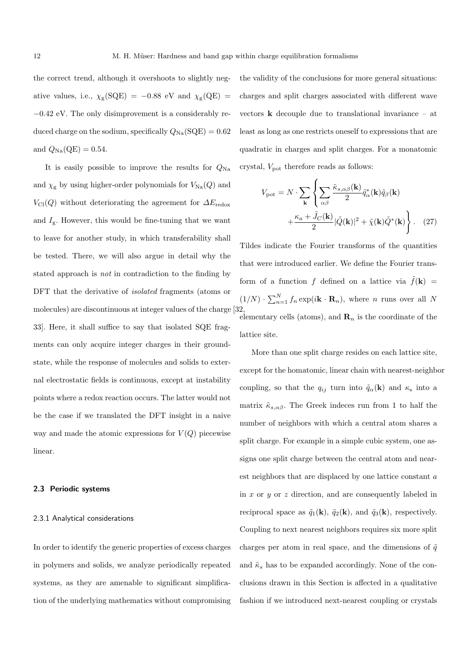the correct trend, although it overshoots to slightly negative values, i.e.,  $\chi_{g}(SQE) = -0.88$  eV and  $\chi_{g}(QE) =$ −0.42 eV. The only disimprovement is a considerably reduced charge on the sodium, specifically  $Q_{\text{Na}}(\text{SQE}) = 0.62$ and  $Q_{\text{Na}}(\text{QE}) = 0.54$ .

It is easily possible to improve the results for  $Q_{\text{Na}}$ and  $\chi_{\rm g}$  by using higher-order polynomials for  $V_{\rm Na}(Q)$  and  $V_{\text{Cl}}(Q)$  without deteriorating the agreement for  $\Delta E_{\text{redox}}$ and  $I_{\rm g}$ . However, this would be fine-tuning that we want to leave for another study, in which transferability shall be tested. There, we will also argue in detail why the stated approach is not in contradiction to the finding by DFT that the derivative of isolated fragments (atoms or molecules) are discontinuous at integer values of the charge [32, 33]. Here, it shall suffice to say that isolated SQE fragments can only acquire integer charges in their groundstate, while the response of molecules and solids to external electrostatic fields is continuous, except at instability points where a redox reaction occurs. The latter would not be the case if we translated the DFT insight in a naive way and made the atomic expressions for  $V(Q)$  piecewise linear.

#### 2.3 Periodic systems

#### 2.3.1 Analytical considerations

In order to identify the generic properties of excess charges in polymers and solids, we analyze periodically repeated systems, as they are amenable to significant simplification of the underlying mathematics without compromising the validity of the conclusions for more general situations: charges and split charges associated with different wave vectors  $\bf{k}$  decouple due to translational invariance – at least as long as one restricts oneself to expressions that are quadratic in charges and split charges. For a monatomic crystal,  $V_{\text{pot}}$  therefore reads as follows:

$$
V_{\rm pot} = N \cdot \sum_{\mathbf{k}} \left\{ \sum_{\alpha\beta} \frac{\tilde{\kappa}_{s,\alpha\beta}(\mathbf{k})}{2} \tilde{q}_{\alpha}^{*}(\mathbf{k}) \tilde{q}_{\beta}(\mathbf{k}) + \frac{\kappa_{a} + \tilde{J}_{C}(\mathbf{k})}{2} |\tilde{Q}(\mathbf{k})|^{2} + \tilde{\chi}(\mathbf{k}) \tilde{Q}^{*}(\mathbf{k}) \right\}.
$$
 (27)

Tildes indicate the Fourier transforms of the quantities that were introduced earlier. We define the Fourier transform of a function f defined on a lattice via  $\tilde{f}(\mathbf{k}) =$  $(1/N) \cdot \sum_{n=1}^{N} f_n \exp(i\mathbf{k} \cdot \mathbf{R}_n)$ , where *n* runs over all *N* elementary cells (atoms), and  $\mathbf{R}_n$  is the coordinate of the lattice site.

More than one split charge resides on each lattice site, except for the homatomic, linear chain with nearest-neighbor coupling, so that the  $q_{ij}$  turn into  $\tilde{q}_{\alpha}(\mathbf{k})$  and  $\kappa_{s}$  into a matrix  $\tilde{\kappa}_{s,\alpha\beta}$ . The Greek indeces run from 1 to half the number of neighbors with which a central atom shares a split charge. For example in a simple cubic system, one assigns one split charge between the central atom and nearest neighbors that are displaced by one lattice constant  $a$ in  $x$  or  $y$  or  $z$  direction, and are consequently labeled in reciprocal space as  $\tilde{q}_1(\mathbf{k})$ ,  $\tilde{q}_2(\mathbf{k})$ , and  $\tilde{q}_3(\mathbf{k})$ , respectively. Coupling to next nearest neighbors requires six more split charges per atom in real space, and the dimensions of  $\tilde{q}$ and  $\tilde{\kappa}_s$  has to be expanded accordingly. None of the conclusions drawn in this Section is affected in a qualitative fashion if we introduced next-nearest coupling or crystals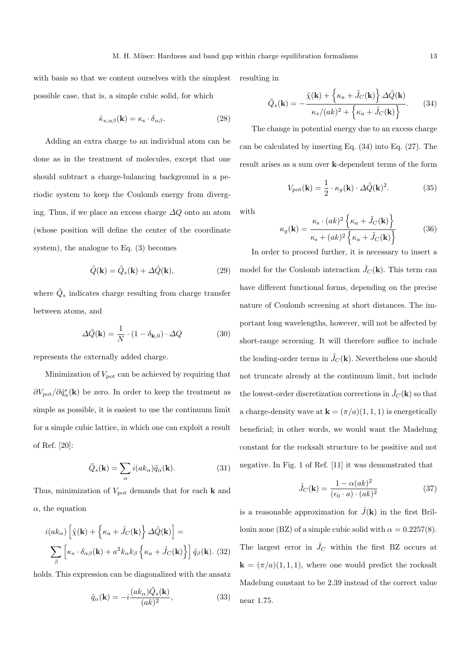with basis so that we content ourselves with the simplest possible case, that is, a simple cubic solid, for which

$$
\tilde{\kappa}_{s,\alpha\beta}(\mathbf{k}) = \kappa_{s} \cdot \delta_{\alpha\beta}.
$$
\n(28)

Adding an extra charge to an individual atom can be done as in the treatment of molecules, except that one should subtract a charge-balancing background in a periodic system to keep the Coulomb energy from diverging. Thus, if we place an excess charge  $\Delta Q$  onto an atom (whose position will define the center of the coordinate system), the analogue to Eq. (3) becomes

$$
\tilde{Q}(\mathbf{k}) = \tilde{Q}_s(\mathbf{k}) + \Delta \tilde{Q}(\mathbf{k}),\tag{29}
$$

where  $\tilde{Q}_s$  indicates charge resulting from charge transfer between atoms, and

$$
\Delta \tilde{Q}(\mathbf{k}) = \frac{1}{N} \cdot (1 - \delta_{\mathbf{k},0}) \cdot \Delta Q \tag{30}
$$

represents the externally added charge.

Minimization of  $V_{\text{pot}}$  can be achieved by requiring that  $\partial V_{\rm pot}/\partial \tilde{q}^*_{\alpha}(\mathbf{k})$  be zero. In order to keep the treatment as simple as possible, it is easiest to use the continuum limit for a simple cubic lattice, in which one can exploit a result of Ref. [20]:

$$
\tilde{Q}_s(\mathbf{k}) = \sum_{\alpha} i(ak_{\alpha})\tilde{q}_{\alpha}(\mathbf{k}).
$$
\n(31)

Thus, minimization of  $V_{\text{pot}}$  demands that for each **k** and  $\alpha$ , the equation

$$
i(a k_{\alpha}) \left[ \tilde{\chi}(\mathbf{k}) + \left\{ \kappa_a + \tilde{J}_C(\mathbf{k}) \right\} \Delta \tilde{Q}(\mathbf{k}) \right] =
$$
  

$$
\sum_{\beta} \left[ \kappa_s \cdot \delta_{\alpha\beta}(\mathbf{k}) + a^2 k_{\alpha} k_{\beta} \left\{ \kappa_a + \tilde{J}_C(\mathbf{k}) \right\} \right] \tilde{q}_{\beta}(\mathbf{k}).
$$
 (32)

holds. This expression can be diagonalized with the ansatz

$$
\tilde{q}_{\alpha}(\mathbf{k}) = -i \frac{(ak_{\alpha})\tilde{Q}_{s}(\mathbf{k})}{(ak)^{2}},
$$
\n(33)

resulting in

$$
\tilde{Q}_s(\mathbf{k}) = -\frac{\tilde{\chi}(\mathbf{k}) + \left\{\kappa_a + \tilde{J}_C(\mathbf{k})\right\}\Delta\tilde{Q}(\mathbf{k})}{\kappa_s/(ak)^2 + \left\{\kappa_a + \tilde{J}_C(\mathbf{k})\right\}}.
$$
 (34)

The change in potential energy due to an excess charge can be calculated by inserting Eq. (34) into Eq. (27). The result arises as a sum over k-dependent terms of the form

$$
V_{\text{pot}}(\mathbf{k}) = \frac{1}{2} \cdot \kappa_g(\mathbf{k}) \cdot \Delta \tilde{Q}(\mathbf{k})^2.
$$
 (35)

with

$$
\kappa_g(\mathbf{k}) = \frac{\kappa_s \cdot (ak)^2 \left\{ \kappa_a + \tilde{J}_C(\mathbf{k}) \right\}}{\kappa_s + (ak)^2 \left\{ \kappa_a + \tilde{J}_C(\mathbf{k}) \right\}} \tag{36}
$$

In order to proceed further, it is necessary to insert a model for the Coulomb interaction  $\tilde{J}_C(\mathbf{k})$ . This term can have different functional forms, depending on the precise nature of Coulomb screening at short distances. The important long wavelengths, however, will not be affected by short-range screening. It will therefore suffice to include the leading-order terms in  $\tilde{J}_C(\mathbf{k})$ . Nevertheless one should not truncate already at the continuum limit, but include the lowest-order discretization corrections in  $\tilde{J}_C(\mathbf{k})$  so that a charge-density wave at  $\mathbf{k} = (\pi/a)(1, 1, 1)$  is energetically beneficial; in other words, we would want the Madelung constant for the rocksalt structure to be positive and not negative. In Fig. 1 of Ref. [11] it was demonstrated that

$$
\tilde{J}_C(\mathbf{k}) = \frac{1 - \alpha (ak)^2}{(\epsilon_0 \cdot a) \cdot (ak)^2} \tag{37}
$$

is a reasonable approximation for  $\tilde{J}(\mathbf{k})$  in the first Brillouin zone (BZ) of a simple cubic solid with  $\alpha = 0.2257(8)$ . The largest error in  $\tilde{J}_C$  within the first BZ occurs at  $\mathbf{k} = (\pi/a)(1, 1, 1)$ , where one would predict the rocksalt Madelung constant to be 2.39 instead of the correct value near 1.75.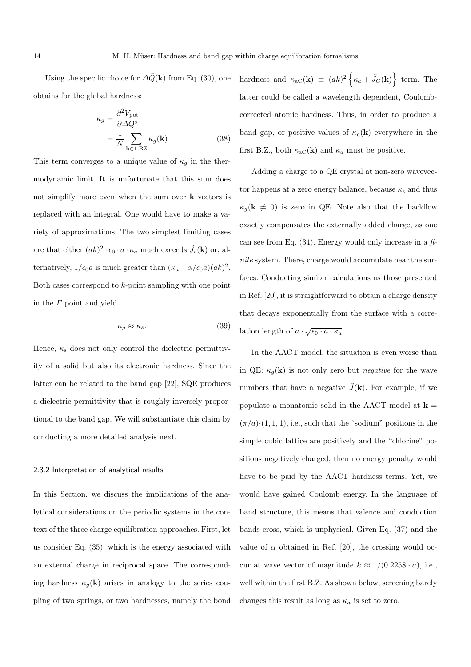Using the specific choice for  $\Delta\tilde{Q}(\mathbf{k})$  from Eq. (30), one obtains for the global hardness:

$$
\kappa_g = \frac{\partial^2 V_{\text{pot}}}{\partial \Delta Q^2}
$$
  
= 
$$
\frac{1}{N} \sum_{\mathbf{k} \in 1.BZ} \kappa_g(\mathbf{k})
$$
 (38)

This term converges to a unique value of  $\kappa_g$  in the thermodynamic limit. It is unfortunate that this sum does not simplify more even when the sum over k vectors is replaced with an integral. One would have to make a variety of approximations. The two simplest limiting cases are that either  $(ak)^2 \cdot \epsilon_0 \cdot a \cdot \kappa_a$  much exceeds  $\tilde{J}_c(\mathbf{k})$  or, alternatively,  $1/\epsilon_0 a$  is much greater than  $(\kappa_a - \alpha/\epsilon_0 a)(ak)^2$ . Both cases correspond to k-point sampling with one point in the  $\Gamma$  point and yield

$$
\kappa_g \approx \kappa_s. \tag{39}
$$

Hence,  $\kappa_{\rm s}$  does not only control the dielectric permittivity of a solid but also its electronic hardness. Since the latter can be related to the band gap [22], SQE produces a dielectric permittivity that is roughly inversely proportional to the band gap. We will substantiate this claim by conducting a more detailed analysis next.

#### 2.3.2 Interpretation of analytical results

In this Section, we discuss the implications of the analytical considerations on the periodic systems in the context of the three charge equilibration approaches. First, let us consider Eq. (35), which is the energy associated with an external charge in reciprocal space. The corresponding hardness  $\kappa_g(\mathbf{k})$  arises in analogy to the series coupling of two springs, or two hardnesses, namely the bond

hardness and  $\kappa_{\rm aC}(\mathbf{k}) \equiv (ak)^2 \left\{ \kappa_a + \tilde{J}_C(\mathbf{k}) \right\}$  term. The latter could be called a wavelength dependent, Coulombcorrected atomic hardness. Thus, in order to produce a band gap, or positive values of  $\kappa_g(\mathbf{k})$  everywhere in the first B.Z., both  $\kappa_{\rm aC}({\bf k})$  and  $\kappa_a$  must be positive.

Adding a charge to a QE crystal at non-zero wavevector happens at a zero energy balance, because  $\kappa_s$  and thus  $\kappa_g(\mathbf{k} \neq 0)$  is zero in QE. Note also that the backflow exactly compensates the externally added charge, as one can see from Eq.  $(34)$ . Energy would only increase in a  $f_i$ nite system. There, charge would accumulate near the surfaces. Conducting similar calculations as those presented in Ref. [20], it is straightforward to obtain a charge density that decays exponentially from the surface with a correlation length of  $a \cdot \sqrt{\epsilon_0 \cdot a \cdot \kappa_a}$ .

In the AACT model, the situation is even worse than in QE:  $\kappa_q(\mathbf{k})$  is not only zero but *negative* for the wave numbers that have a negative  $\tilde{J}(\mathbf{k})$ . For example, if we populate a monatomic solid in the AACT model at  $\mathbf{k} =$  $(\pi/a)$ · $(1, 1, 1)$ , i.e., such that the "sodium" positions in the simple cubic lattice are positively and the "chlorine" positions negatively charged, then no energy penalty would have to be paid by the AACT hardness terms. Yet, we would have gained Coulomb energy. In the language of band structure, this means that valence and conduction bands cross, which is unphysical. Given Eq. (37) and the value of  $\alpha$  obtained in Ref. [20], the crossing would occur at wave vector of magnitude  $k \approx 1/(0.2258 \cdot a)$ , i.e., well within the first B.Z. As shown below, screening barely changes this result as long as  $\kappa_a$  is set to zero.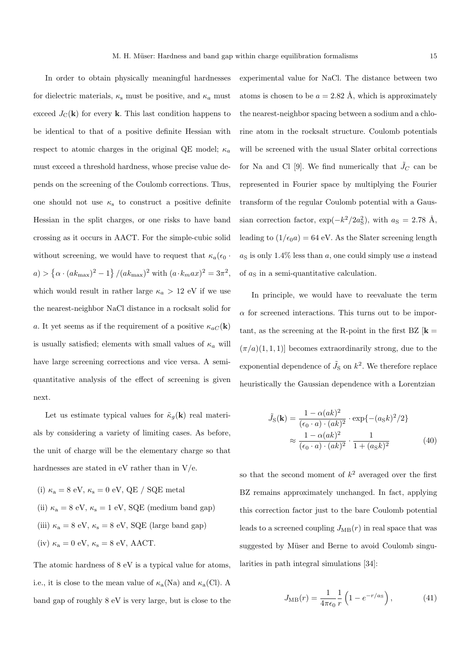In order to obtain physically meaningful hardnesses for dielectric materials,  $\kappa_{\rm s}$  must be positive, and  $\kappa_a$  must exceed  $J_{\text{C}}(\mathbf{k})$  for every **k**. This last condition happens to be identical to that of a positive definite Hessian with respect to atomic charges in the original QE model;  $\kappa_a$ must exceed a threshold hardness, whose precise value depends on the screening of the Coulomb corrections. Thus, one should not use  $\kappa$  to construct a positive definite Hessian in the split charges, or one risks to have band crossing as it occurs in AACT. For the simple-cubic solid without screening, we would have to request that  $\kappa_a(\epsilon_0 \cdot$ a) > { $\alpha \cdot (ak_{\text{max}})^2 - 1$ } /( $ak_{\text{max}}$ )<sup>2</sup> with  $(a \cdot k_{m} a x)^2 = 3\pi^2$ , which would result in rather large  $\kappa_a > 12$  eV if we use the nearest-neighbor NaCl distance in a rocksalt solid for a. It yet seems as if the requirement of a positive  $\kappa_{aC}(\mathbf{k})$ is usually satisfied; elements with small values of  $\kappa_a$  will have large screening corrections and vice versa. A semiquantitative analysis of the effect of screening is given next.

Let us estimate typical values for  $\tilde{\kappa}_q(\mathbf{k})$  real materials by considering a variety of limiting cases. As before, the unit of charge will be the elementary charge so that hardnesses are stated in eV rather than in  $V/e$ .

(i) 
$$
\kappa_a = 8
$$
 eV,  $\kappa_s = 0$  eV, QE / SQE metal  
(ii)  $\kappa_a = 8$  eV,  $\kappa_s = 1$  eV, SQE (medium band gap)  
(iii)  $\kappa_a = 8$  eV,  $\kappa_s = 8$  eV, SQE (large band gap)  
(iv)  $\kappa_a = 0$  eV,  $\kappa_s = 8$  eV, AACT.

The atomic hardness of 8 eV is a typical value for atoms, i.e., it is close to the mean value of  $\kappa_a(Na)$  and  $\kappa_a(Cl)$ . A band gap of roughly 8 eV is very large, but is close to the experimental value for NaCl. The distance between two atoms is chosen to be  $a = 2.82 \text{ Å}$ , which is approximately the nearest-neighbor spacing between a sodium and a chlorine atom in the rocksalt structure. Coulomb potentials will be screened with the usual Slater orbital corrections for Na and Cl [9]. We find numerically that  $\tilde{J}_C$  can be represented in Fourier space by multiplying the Fourier transform of the regular Coulomb potential with a Gaussian correction factor,  $\exp(-k^2/2a_S^2)$ , with  $a_S = 2.78$  Å, leading to  $(1/\epsilon_0 a) = 64$  eV. As the Slater screening length  $a_S$  is only 1.4% less than a, one could simply use a instead of  $a_{\rm S}$  in a semi-quantitative calculation.

In principle, we would have to reevaluate the term  $\alpha$  for screened interactions. This turns out to be important, as the screening at the R-point in the first  $BZ \rvert \mathbf{k} =$  $(\pi/a)(1,1,1)$ ] becomes extraordinarily strong, due to the exponential dependence of  $\tilde{J}_S$  on  $k^2$ . We therefore replace heuristically the Gaussian dependence with a Lorentzian

$$
\tilde{J}_{S}(\mathbf{k}) = \frac{1 - \alpha(ak)^{2}}{(\epsilon_{0} \cdot a) \cdot (ak)^{2}} \cdot \exp\{- (a_{S}k)^{2}/2 \}
$$

$$
\approx \frac{1 - \alpha(ak)^{2}}{(\epsilon_{0} \cdot a) \cdot (ak)^{2}} \cdot \frac{1}{1 + (a_{S}k)^{2}} \tag{40}
$$

so that the second moment of  $k^2$  averaged over the first BZ remains approximately unchanged. In fact, applying this correction factor just to the bare Coulomb potential leads to a screened coupling  $J_{MB}(r)$  in real space that was suggested by Müser and Berne to avoid Coulomb singularities in path integral simulations [34]:

$$
J_{\rm MB}(r) = \frac{1}{4\pi\epsilon_0} \frac{1}{r} \left( 1 - e^{-r/a_{\rm S}} \right),
$$
 (41)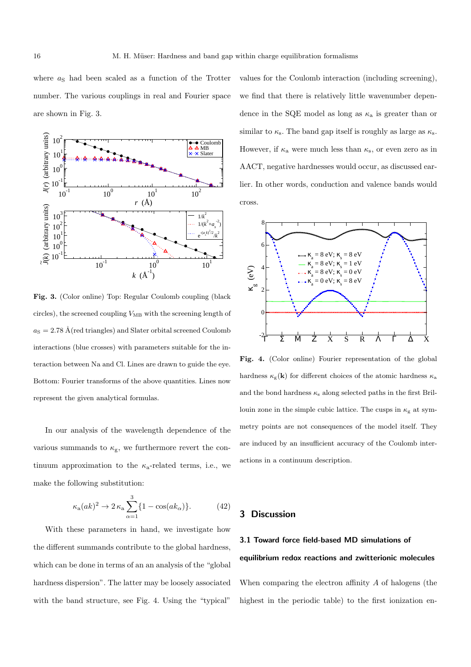where  $a<sub>S</sub>$  had been scaled as a function of the Trotter number. The various couplings in real and Fourier space are shown in Fig. 3.



Fig. 3. (Color online) Top: Regular Coulomb coupling (black circles), the screened coupling  $V_{MB}$  with the screening length of  $a<sub>S</sub> = 2.78$  Å (red triangles) and Slater orbital screened Coulomb interactions (blue crosses) with parameters suitable for the interaction between Na and Cl. Lines are drawn to guide the eye. Bottom: Fourier transforms of the above quantities. Lines now represent the given analytical formulas.

In our analysis of the wavelength dependence of the various summands to  $\kappa_{\mathfrak{g}}$ , we furthermore revert the continuum approximation to the  $\kappa_a$ -related terms, i.e., we make the following substitution:

$$
\kappa_{\mathbf{a}}(ak)^2 \to 2\,\kappa_{\mathbf{a}} \sum_{\alpha=1}^3 \{1 - \cos(ak_{\alpha})\}.\tag{42}
$$

With these parameters in hand, we investigate how the different summands contribute to the global hardness, which can be done in terms of an an analysis of the "global hardness dispersion". The latter may be loosely associated with the band structure, see Fig. 4. Using the "typical"

values for the Coulomb interaction (including screening), we find that there is relatively little wavenumber dependence in the SQE model as long as  $\kappa_{\rm a}$  is greater than or similar to  $\kappa_s$ . The band gap itself is roughly as large as  $\kappa_s$ . However, if  $\kappa_a$  were much less than  $\kappa_s$ , or even zero as in AACT, negative hardnesses would occur, as discussed earlier. In other words, conduction and valence bands would cross.



Fig. 4. (Color online) Fourier representation of the global hardness  $\kappa_{\mathrm{g}}(\mathbf{k})$  for different choices of the atomic hardness  $\kappa_{\mathrm{a}}$ and the bond hardness  $\kappa_s$  along selected paths in the first Brillouin zone in the simple cubic lattice. The cusps in  $\kappa_{\rm g}$  at symmetry points are not consequences of the model itself. They are induced by an insufficient accuracy of the Coulomb interactions in a continuum description.

# 3 Discussion

# 3.1 Toward force field-based MD simulations of equilibrium redox reactions and zwitterionic molecules

When comparing the electron affinity A of halogens (the highest in the periodic table) to the first ionization en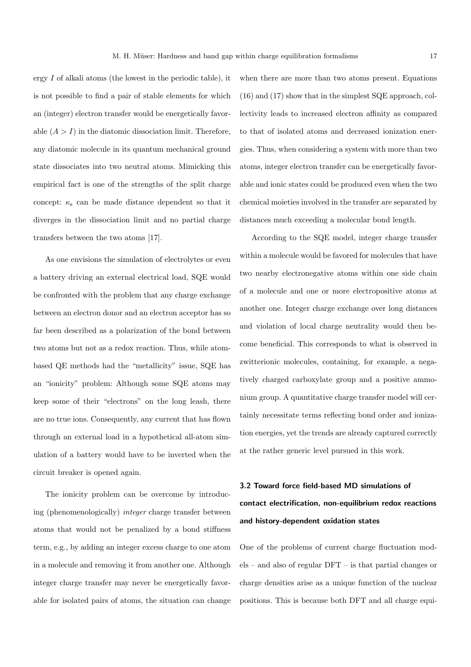ergy I of alkali atoms (the lowest in the periodic table), it is not possible to find a pair of stable elements for which an (integer) electron transfer would be energetically favorable  $(A > I)$  in the diatomic dissociation limit. Therefore, any diatomic molecule in its quantum mechanical ground state dissociates into two neutral atoms. Mimicking this empirical fact is one of the strengths of the split charge concept:  $\kappa$  can be made distance dependent so that it diverges in the dissociation limit and no partial charge transfers between the two atoms [17].

As one envisions the simulation of electrolytes or even a battery driving an external electrical load, SQE would be confronted with the problem that any charge exchange between an electron donor and an electron acceptor has so far been described as a polarization of the bond between two atoms but not as a redox reaction. Thus, while atombased QE methods had the "metallicity" issue, SQE has an "ionicity" problem: Although some SQE atoms may keep some of their "electrons" on the long leash, there are no true ions. Consequently, any current that has flown through an external load in a hypothetical all-atom simulation of a battery would have to be inverted when the circuit breaker is opened again.

The ionicity problem can be overcome by introducing (phenomenologically) integer charge transfer between atoms that would not be penalized by a bond stiffness term, e.g., by adding an integer excess charge to one atom in a molecule and removing it from another one. Although integer charge transfer may never be energetically favorable for isolated pairs of atoms, the situation can change when there are more than two atoms present. Equations (16) and (17) show that in the simplest SQE approach, collectivity leads to increased electron affinity as compared to that of isolated atoms and decreased ionization energies. Thus, when considering a system with more than two atoms, integer electron transfer can be energetically favorable and ionic states could be produced even when the two chemical moieties involved in the transfer are separated by distances much exceeding a molecular bond length.

According to the SQE model, integer charge transfer within a molecule would be favored for molecules that have two nearby electronegative atoms within one side chain of a molecule and one or more electropositive atoms at another one. Integer charge exchange over long distances and violation of local charge neutrality would then become beneficial. This corresponds to what is observed in zwitterionic molecules, containing, for example, a negatively charged carboxylate group and a positive ammonium group. A quantitative charge transfer model will certainly necessitate terms reflecting bond order and ionization energies, yet the trends are already captured correctly at the rather generic level pursued in this work.

# 3.2 Toward force field-based MD simulations of contact electrification, non-equilibrium redox reactions and history-dependent oxidation states

One of the problems of current charge fluctuation models – and also of regular DFT – is that partial changes or charge densities arise as a unique function of the nuclear positions. This is because both DFT and all charge equi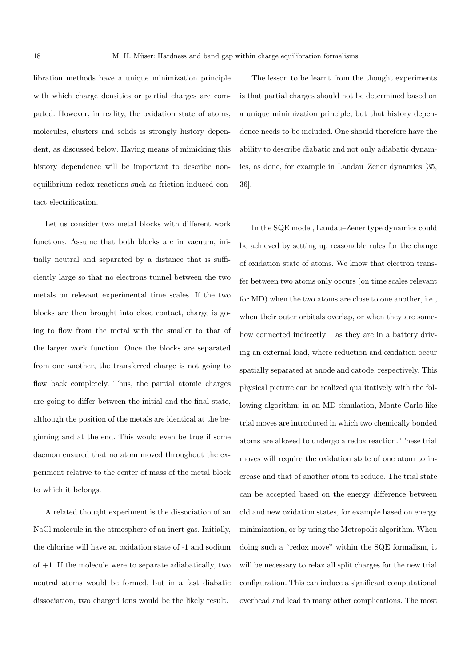libration methods have a unique minimization principle with which charge densities or partial charges are computed. However, in reality, the oxidation state of atoms, molecules, clusters and solids is strongly history dependent, as discussed below. Having means of mimicking this history dependence will be important to describe nonequilibrium redox reactions such as friction-induced contact electrification.

Let us consider two metal blocks with different work functions. Assume that both blocks are in vacuum, initially neutral and separated by a distance that is sufficiently large so that no electrons tunnel between the two metals on relevant experimental time scales. If the two blocks are then brought into close contact, charge is going to flow from the metal with the smaller to that of the larger work function. Once the blocks are separated from one another, the transferred charge is not going to flow back completely. Thus, the partial atomic charges are going to differ between the initial and the final state, although the position of the metals are identical at the beginning and at the end. This would even be true if some daemon ensured that no atom moved throughout the experiment relative to the center of mass of the metal block to which it belongs.

A related thought experiment is the dissociation of an NaCl molecule in the atmosphere of an inert gas. Initially, the chlorine will have an oxidation state of -1 and sodium of  $+1$ . If the molecule were to separate adiabatically, two neutral atoms would be formed, but in a fast diabatic dissociation, two charged ions would be the likely result.

The lesson to be learnt from the thought experiments is that partial charges should not be determined based on a unique minimization principle, but that history dependence needs to be included. One should therefore have the ability to describe diabatic and not only adiabatic dynamics, as done, for example in Landau–Zener dynamics [35, 36].

In the SQE model, Landau–Zener type dynamics could be achieved by setting up reasonable rules for the change of oxidation state of atoms. We know that electron transfer between two atoms only occurs (on time scales relevant for MD) when the two atoms are close to one another, i.e., when their outer orbitals overlap, or when they are somehow connected indirectly – as they are in a battery driving an external load, where reduction and oxidation occur spatially separated at anode and catode, respectively. This physical picture can be realized qualitatively with the following algorithm: in an MD simulation, Monte Carlo-like trial moves are introduced in which two chemically bonded atoms are allowed to undergo a redox reaction. These trial moves will require the oxidation state of one atom to increase and that of another atom to reduce. The trial state can be accepted based on the energy difference between old and new oxidation states, for example based on energy minimization, or by using the Metropolis algorithm. When doing such a "redox move" within the SQE formalism, it will be necessary to relax all split charges for the new trial configuration. This can induce a significant computational overhead and lead to many other complications. The most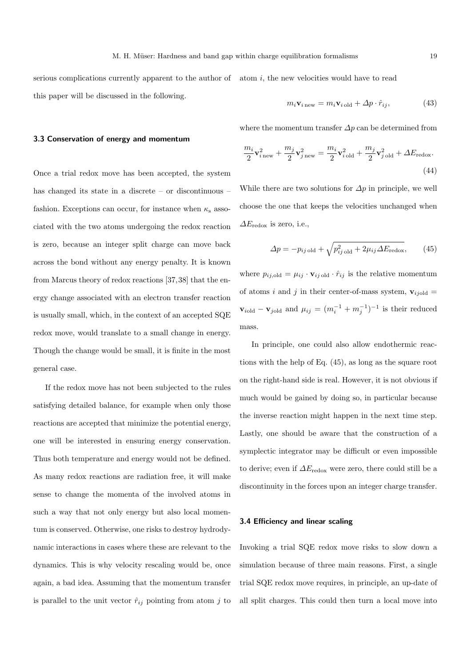serious complications currently apparent to the author of  $\alpha$  atom i, the new velocities would have to read this paper will be discussed in the following.

#### 3.3 Conservation of energy and momentum

Once a trial redox move has been accepted, the system has changed its state in a discrete – or discontinuous – fashion. Exceptions can occur, for instance when  $\kappa_s$  associated with the two atoms undergoing the redox reaction is zero, because an integer split charge can move back across the bond without any energy penalty. It is known from Marcus theory of redox reactions [37, 38] that the energy change associated with an electron transfer reaction is usually small, which, in the context of an accepted SQE redox move, would translate to a small change in energy. Though the change would be small, it is finite in the most general case.

If the redox move has not been subjected to the rules satisfying detailed balance, for example when only those reactions are accepted that minimize the potential energy, one will be interested in ensuring energy conservation. Thus both temperature and energy would not be defined. As many redox reactions are radiation free, it will make sense to change the momenta of the involved atoms in such a way that not only energy but also local momentum is conserved. Otherwise, one risks to destroy hydrodynamic interactions in cases where these are relevant to the dynamics. This is why velocity rescaling would be, once again, a bad idea. Assuming that the momentum transfer is parallel to the unit vector  $\hat{r}_{ij}$  pointing from atom j to

$$
m_i \mathbf{v}_{i \text{ new}} = m_i \mathbf{v}_{i \text{ old}} + \Delta p \cdot \hat{r}_{ij}, \tag{43}
$$

where the momentum transfer  $\Delta p$  can be determined from

$$
\frac{m_i}{2}\mathbf{v}_{i\text{ new}}^2 + \frac{m_j}{2}\mathbf{v}_{j\text{ new}}^2 = \frac{m_i}{2}\mathbf{v}_{i\text{ old}}^2 + \frac{m_j}{2}\mathbf{v}_{j\text{ old}}^2 + \Delta E_{\text{redox}}.\tag{44}
$$

While there are two solutions for  $\Delta p$  in principle, we well choose the one that keeps the velocities unchanged when  $\Delta E_{\text{redox}}$  is zero, i.e.,

$$
\Delta p = -p_{ij \text{ old}} + \sqrt{p_{ij \text{ old}}^2 + 2\mu_{ij}\Delta E_{\text{redox}}},\qquad(45)
$$

where  $p_{ij,old} = \mu_{ij} \cdot \mathbf{v}_{ij,old} \cdot \hat{r}_{ij}$  is the relative momentum of atoms  $i$  and  $j$  in their center-of-mass system,  $\mathbf{v}_{ij\text{old}}$  =  $\mathbf{v}_{i\text{old}} - \mathbf{v}_{j\text{old}}$  and  $\mu_{ij} = (m_i^{-1} + m_j^{-1})^{-1}$  is their reduced mass.

In principle, one could also allow endothermic reactions with the help of Eq. (45), as long as the square root on the right-hand side is real. However, it is not obvious if much would be gained by doing so, in particular because the inverse reaction might happen in the next time step. Lastly, one should be aware that the construction of a symplectic integrator may be difficult or even impossible to derive; even if  $\Delta E_{\text{redox}}$  were zero, there could still be a discontinuity in the forces upon an integer charge transfer.

#### 3.4 Efficiency and linear scaling

Invoking a trial SQE redox move risks to slow down a simulation because of three main reasons. First, a single trial SQE redox move requires, in principle, an up-date of all split charges. This could then turn a local move into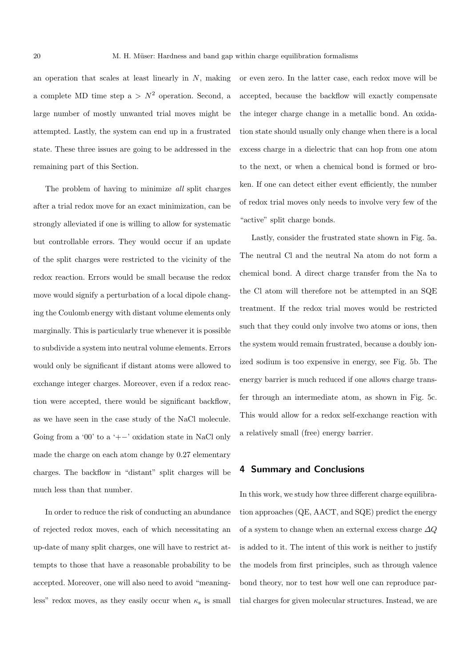an operation that scales at least linearly in  $N$ , making a complete MD time step  $a > N^2$  operation. Second, a large number of mostly unwanted trial moves might be attempted. Lastly, the system can end up in a frustrated state. These three issues are going to be addressed in the remaining part of this Section.

The problem of having to minimize *all* split charges after a trial redox move for an exact minimization, can be strongly alleviated if one is willing to allow for systematic but controllable errors. They would occur if an update of the split charges were restricted to the vicinity of the redox reaction. Errors would be small because the redox move would signify a perturbation of a local dipole changing the Coulomb energy with distant volume elements only marginally. This is particularly true whenever it is possible to subdivide a system into neutral volume elements. Errors would only be significant if distant atoms were allowed to exchange integer charges. Moreover, even if a redox reaction were accepted, there would be significant backflow, as we have seen in the case study of the NaCl molecule. Going from a '00' to a ' $+-$ ' oxidation state in NaCl only made the charge on each atom change by 0.27 elementary charges. The backflow in "distant" split charges will be much less than that number.

In order to reduce the risk of conducting an abundance of rejected redox moves, each of which necessitating an up-date of many split charges, one will have to restrict attempts to those that have a reasonable probability to be accepted. Moreover, one will also need to avoid "meaningless" redox moves, as they easily occur when  $\kappa_s$  is small or even zero. In the latter case, each redox move will be accepted, because the backflow will exactly compensate the integer charge change in a metallic bond. An oxidation state should usually only change when there is a local excess charge in a dielectric that can hop from one atom to the next, or when a chemical bond is formed or broken. If one can detect either event efficiently, the number of redox trial moves only needs to involve very few of the "active" split charge bonds.

Lastly, consider the frustrated state shown in Fig. 5a. The neutral Cl and the neutral Na atom do not form a chemical bond. A direct charge transfer from the Na to the Cl atom will therefore not be attempted in an SQE treatment. If the redox trial moves would be restricted such that they could only involve two atoms or ions, then the system would remain frustrated, because a doubly ionized sodium is too expensive in energy, see Fig. 5b. The energy barrier is much reduced if one allows charge transfer through an intermediate atom, as shown in Fig. 5c. This would allow for a redox self-exchange reaction with a relatively small (free) energy barrier.

# 4 Summary and Conclusions

In this work, we study how three different charge equilibration approaches (QE, AACT, and SQE) predict the energy of a system to change when an external excess charge  $\Delta Q$ is added to it. The intent of this work is neither to justify the models from first principles, such as through valence bond theory, nor to test how well one can reproduce partial charges for given molecular structures. Instead, we are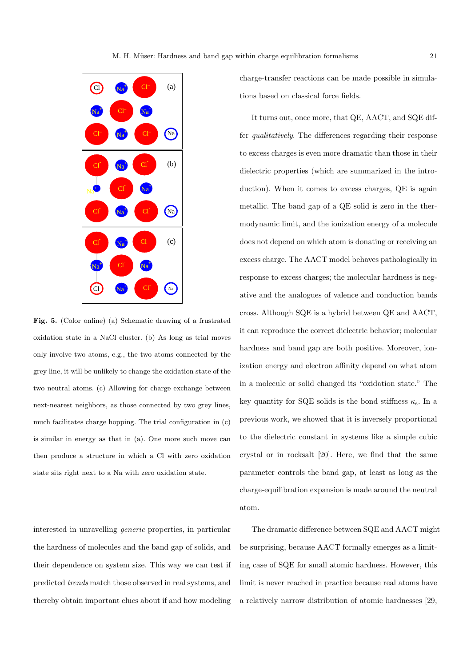

Fig. 5. (Color online) (a) Schematic drawing of a frustrated oxidation state in a NaCl cluster. (b) As long as trial moves only involve two atoms, e.g., the two atoms connected by the grey line, it will be unlikely to change the oxidation state of the two neutral atoms. (c) Allowing for charge exchange between next-nearest neighbors, as those connected by two grey lines, much facilitates charge hopping. The trial configuration in (c) is similar in energy as that in (a). One more such move can then produce a structure in which a Cl with zero oxidation state sits right next to a Na with zero oxidation state.

interested in unravelling generic properties, in particular the hardness of molecules and the band gap of solids, and their dependence on system size. This way we can test if predicted trends match those observed in real systems, and thereby obtain important clues about if and how modeling

charge-transfer reactions can be made possible in simulations based on classical force fields.

It turns out, once more, that QE, AACT, and SQE differ qualitatively. The differences regarding their response to excess charges is even more dramatic than those in their dielectric properties (which are summarized in the introduction). When it comes to excess charges, QE is again metallic. The band gap of a QE solid is zero in the thermodynamic limit, and the ionization energy of a molecule does not depend on which atom is donating or receiving an excess charge. The AACT model behaves pathologically in response to excess charges; the molecular hardness is negative and the analogues of valence and conduction bands cross. Although SQE is a hybrid between QE and AACT, it can reproduce the correct dielectric behavior; molecular hardness and band gap are both positive. Moreover, ionization energy and electron affinity depend on what atom in a molecule or solid changed its "oxidation state." The key quantity for SQE solids is the bond stiffness  $\kappa_{s}$ . In a previous work, we showed that it is inversely proportional to the dielectric constant in systems like a simple cubic crystal or in rocksalt [20]. Here, we find that the same parameter controls the band gap, at least as long as the charge-equilibration expansion is made around the neutral atom.

The dramatic difference between SQE and AACT might be surprising, because AACT formally emerges as a limiting case of SQE for small atomic hardness. However, this limit is never reached in practice because real atoms have a relatively narrow distribution of atomic hardnesses [29,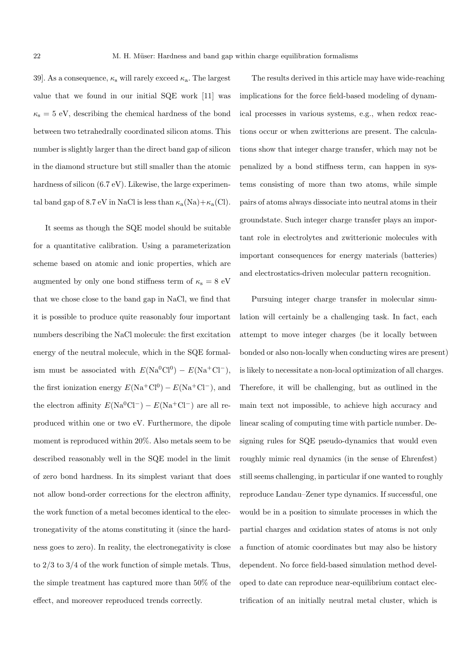39]. As a consequence,  $\kappa_s$  will rarely exceed  $\kappa_a$ . The largest value that we found in our initial SQE work [11] was  $\kappa_s = 5$  eV, describing the chemical hardness of the bond between two tetrahedrally coordinated silicon atoms. This number is slightly larger than the direct band gap of silicon in the diamond structure but still smaller than the atomic hardness of silicon  $(6.7 \text{ eV})$ . Likewise, the large experimental band gap of 8.7 eV in NaCl is less than  $\kappa_a(Na) + \kappa_a(Cl)$ .

It seems as though the SQE model should be suitable for a quantitative calibration. Using a parameterization scheme based on atomic and ionic properties, which are augmented by only one bond stiffness term of  $\kappa_s = 8$  eV that we chose close to the band gap in NaCl, we find that it is possible to produce quite reasonably four important numbers describing the NaCl molecule: the first excitation energy of the neutral molecule, which in the SQE formalism must be associated with  $E(Na^0Cl^0) - E(Na^+Cl^-)$ , the first ionization energy  $E(\text{Na}^+\text{Cl}^0) - E(\text{Na}^+\text{Cl}^-)$ , and the electron affinity  $E(\mathrm{Na^0Cl^-}) - E(\mathrm{Na^+Cl^-})$  are all reproduced within one or two eV. Furthermore, the dipole moment is reproduced within 20%. Also metals seem to be described reasonably well in the SQE model in the limit of zero bond hardness. In its simplest variant that does not allow bond-order corrections for the electron affinity, the work function of a metal becomes identical to the electronegativity of the atoms constituting it (since the hardness goes to zero). In reality, the electronegativity is close to 2/3 to 3/4 of the work function of simple metals. Thus, the simple treatment has captured more than 50% of the effect, and moreover reproduced trends correctly.

The results derived in this article may have wide-reaching implications for the force field-based modeling of dynamical processes in various systems, e.g., when redox reactions occur or when zwitterions are present. The calculations show that integer charge transfer, which may not be penalized by a bond stiffness term, can happen in systems consisting of more than two atoms, while simple pairs of atoms always dissociate into neutral atoms in their groundstate. Such integer charge transfer plays an important role in electrolytes and zwitterionic molecules with important consequences for energy materials (batteries) and electrostatics-driven molecular pattern recognition.

Pursuing integer charge transfer in molecular simulation will certainly be a challenging task. In fact, each attempt to move integer charges (be it locally between bonded or also non-locally when conducting wires are present) is likely to necessitate a non-local optimization of all charges. Therefore, it will be challenging, but as outlined in the main text not impossible, to achieve high accuracy and linear scaling of computing time with particle number. Designing rules for SQE pseudo-dynamics that would even roughly mimic real dynamics (in the sense of Ehrenfest) still seems challenging, in particular if one wanted to roughly reproduce Landau–Zener type dynamics. If successful, one would be in a position to simulate processes in which the partial charges and oxidation states of atoms is not only a function of atomic coordinates but may also be history dependent. No force field-based simulation method developed to date can reproduce near-equilibrium contact electrification of an initially neutral metal cluster, which is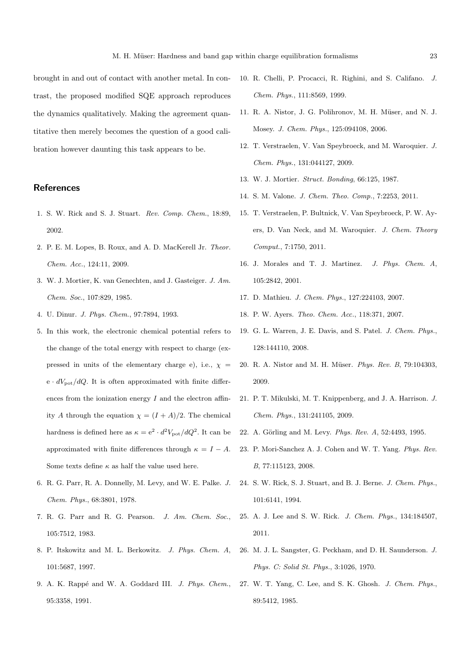brought in and out of contact with another metal. In contrast, the proposed modified SQE approach reproduces the dynamics qualitatively. Making the agreement quantitative then merely becomes the question of a good calibration however daunting this task appears to be.

# **References**

- 1. S. W. Rick and S. J. Stuart. *Rev. Comp. Chem.*, 18:89, 2002.
- 2. P. E. M. Lopes, B. Roux, and A. D. MacKerell Jr. *Theor. Chem. Acc.*, 124:11, 2009.
- 3. W. J. Mortier, K. van Genechten, and J. Gasteiger. *J. Am. Chem. Soc.*, 107:829, 1985.
- 4. U. Dinur. *J. Phys. Chem.*, 97:7894, 1993.
- 5. In this work, the electronic chemical potential refers to the change of the total energy with respect to charge (expressed in units of the elementary charge e), i.e.,  $\chi$  =  $e \cdot dV_{pot}/dQ$ . It is often approximated with finite differences from the ionization energy  $I$  and the electron affinity A through the equation  $\chi = (I + A)/2$ . The chemical hardness is defined here as  $\kappa = e^2 \cdot d^2 V_{\text{pot}}/dQ^2$ . It can be approximated with finite differences through  $\kappa = I - A$ . Some texts define  $\kappa$  as half the value used here.
- 6. R. G. Parr, R. A. Donnelly, M. Levy, and W. E. Palke. *J. Chem. Phys.*, 68:3801, 1978.
- 7. R. G. Parr and R. G. Pearson. *J. Am. Chem. Soc.*, 105:7512, 1983.
- 8. P. Itskowitz and M. L. Berkowitz. *J. Phys. Chem. A*, 101:5687, 1997.
- 95:3358, 1991.
- 10. R. Chelli, P. Procacci, R. Righini, and S. Califano. *J. Chem. Phys.*, 111:8569, 1999.
- 11. R. A. Nistor, J. G. Polihronov, M. H. Müser, and N. J. Mosey. *J. Chem. Phys.*, 125:094108, 2006.
- 12. T. Verstraelen, V. Van Speybroeck, and M. Waroquier. *J. Chem. Phys.*, 131:044127, 2009.
- 13. W. J. Mortier. *Struct. Bonding*, 66:125, 1987.
- 14. S. M. Valone. *J. Chem. Theo. Comp.*, 7:2253, 2011.
- 15. T. Verstraelen, P. Bultnick, V. Van Speybroeck, P. W. Ayers, D. Van Neck, and M. Waroquier. *J. Chem. Theory Comput.*, 7:1750, 2011.
- 16. J. Morales and T. J. Martinez. *J. Phys. Chem. A*, 105:2842, 2001.
- 17. D. Mathieu. *J. Chem. Phys.*, 127:224103, 2007.
- 18. P. W. Ayers. *Theo. Chem. Acc.*, 118:371, 2007.
- 19. G. L. Warren, J. E. Davis, and S. Patel. *J. Chem. Phys.*, 128:144110, 2008.
- 20. R. A. Nistor and M. H. Müser. *Phys. Rev. B*, 79:104303, 2009.
- 21. P. T. Mikulski, M. T. Knippenberg, and J. A. Harrison. *J. Chem. Phys.*, 131:241105, 2009.
- 22. A. Görling and M. Levy. *Phys. Rev. A*, 52:4493, 1995.
- 23. P. Mori-Sanchez A. J. Cohen and W. T. Yang. *Phys. Rev. B*, 77:115123, 2008.
- 24. S. W. Rick, S. J. Stuart, and B. J. Berne. *J. Chem. Phys.*, 101:6141, 1994.
- 25. A. J. Lee and S. W. Rick. *J. Chem. Phys.*, 134:184507, 2011.
- 26. M. J. L. Sangster, G. Peckham, and D. H. Saunderson. *J. Phys. C: Solid St. Phys.*, 3:1026, 1970.
- 9. A. K. Rapp´e and W. A. Goddard III. *J. Phys. Chem.*, 27. W. T. Yang, C. Lee, and S. K. Ghosh. *J. Chem. Phys.*, 89:5412, 1985.